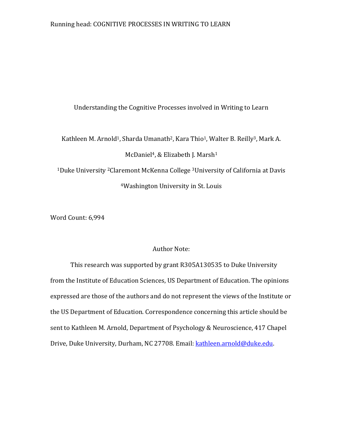### Understanding the Cognitive Processes involved in Writing to Learn

Kathleen M. Arnold<sup>1</sup>, Sharda Umanath<sup>2</sup>, Kara Thio<sup>1</sup>, Walter B. Reilly<sup>3</sup>, Mark A. McDaniel<sup>4</sup>, & Elizabeth J. Marsh<sup>1</sup> <sup>1</sup>Duke University 2Claremont McKenna College 3University of California at Davis <sup>4</sup>Washington University in St. Louis

Word Count: 6,994

### Author Note:

This research was supported by grant R305A130535 to Duke University from the Institute of Education Sciences, US Department of Education. The opinions expressed are those of the authors and do not represent the views of the Institute or the US Department of Education. Correspondence concerning this article should be sent to Kathleen M. Arnold, Department of Psychology & Neuroscience, 417 Chapel Drive, Duke University, Durham, NC 27708. Email: [kathleen.arnold@duke.edu.](mailto:kathleen.arnold@duke.edu)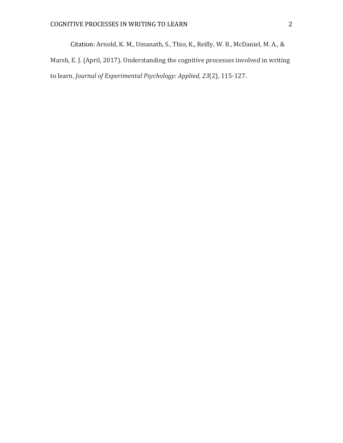Citation: Arnold, K. M., Umanath, S., Thio, K., Reilly, W. B., McDaniel, M. A., & Marsh, E. J. (April, 2017). Understanding the cognitive processes involved in writing to learn. *Journal of Experimental Psychology: Applied*, *23*(2), 115-127.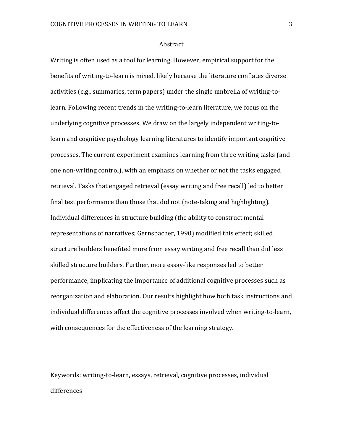#### Abstract

Writing is often used as a tool for learning. However, empirical support for the benefits of writing-to-learn is mixed, likely because the literature conflates diverse activities (e.g., summaries, term papers) under the single umbrella of writing-tolearn. Following recent trends in the writing-to-learn literature, we focus on the underlying cognitive processes. We draw on the largely independent writing-tolearn and cognitive psychology learning literatures to identify important cognitive processes. The current experiment examines learning from three writing tasks (and one non-writing control), with an emphasis on whether or not the tasks engaged retrieval. Tasks that engaged retrieval (essay writing and free recall) led to better final test performance than those that did not (note-taking and highlighting). Individual differences in structure building (the ability to construct mental representations of narratives; Gernsbacher, 1990) modified this effect; skilled structure builders benefited more from essay writing and free recall than did less skilled structure builders. Further, more essay-like responses led to better performance, implicating the importance of additional cognitive processes such as reorganization and elaboration. Our results highlight how both task instructions and individual differences affect the cognitive processes involved when writing-to-learn, with consequences for the effectiveness of the learning strategy.

Keywords: writing-to-learn, essays, retrieval, cognitive processes, individual differences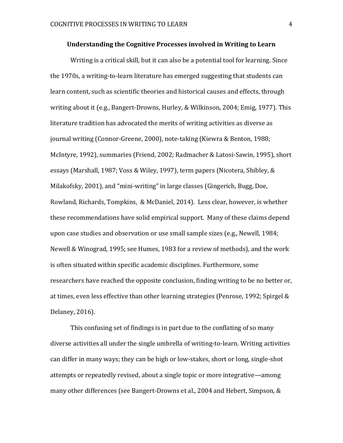#### **Understanding the Cognitive Processes involved in Writing to Learn**

Writing is a critical skill, but it can also be a potential tool for learning. Since the 1970s, a writing-to-learn literature has emerged suggesting that students can learn content, such as scientific theories and historical causes and effects, through writing about it (e.g., Bangert-Drowns, Hurley, & Wilkinson, 2004; Emig, 1977). This literature tradition has advocated the merits of writing activities as diverse as journal writing (Connor-Greene, 2000), note-taking (Kiewra & Benton, 1988; McIntyre, 1992), summaries (Friend, 2002; Radmacher & Latosi-Sawin, 1995), short essays (Marshall, 1987; Voss & Wiley, 1997), term papers (Nicotera, Shibley, & Milakofsky, 2001), and "mini-writing" in large classes (Gingerich, Bugg, Doe, Rowland, Richards, Tompkins, & McDaniel, 2014). Less clear, however, is whether these recommendations have solid empirical support. Many of these claims depend upon case studies and observation or use small sample sizes (e.g., Newell, 1984; Newell & Winograd, 1995; see Humes, 1983 for a review of methods), and the work is often situated within specific academic disciplines. Furthermore, some researchers have reached the opposite conclusion, finding writing to be no better or, at times, even less effective than other learning strategies (Penrose, 1992; Spirgel & Delaney, 2016).

This confusing set of findings is in part due to the conflating of so many diverse activities all under the single umbrella of writing-to-learn. Writing activities can differ in many ways; they can be high or low-stakes, short or long, single-shot attempts or repeatedly revised, about a single topic or more integrative—among many other differences (see Bangert-Drowns et al., 2004 and Hebert, Simpson, &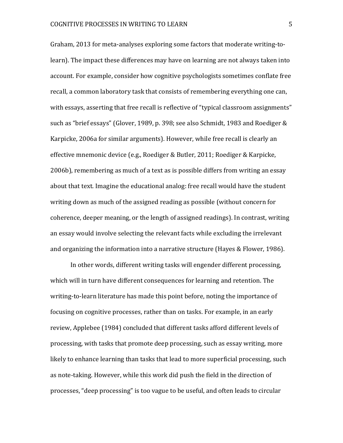Graham, 2013 for meta-analyses exploring some factors that moderate writing-tolearn). The impact these differences may have on learning are not always taken into account. For example, consider how cognitive psychologists sometimes conflate free recall, a common laboratory task that consists of remembering everything one can, with essays, asserting that free recall is reflective of "typical classroom assignments" such as "brief essays" (Glover, 1989, p. 398; see also Schmidt, 1983 and Roediger & Karpicke, 2006a for similar arguments). However, while free recall is clearly an effective mnemonic device (e.g., Roediger & Butler, 2011; Roediger & Karpicke, 2006b), remembering as much of a text as is possible differs from writing an essay about that text. Imagine the educational analog: free recall would have the student writing down as much of the assigned reading as possible (without concern for coherence, deeper meaning, or the length of assigned readings). In contrast, writing an essay would involve selecting the relevant facts while excluding the irrelevant and organizing the information into a narrative structure (Hayes & Flower, 1986).

In other words, different writing tasks will engender different processing, which will in turn have different consequences for learning and retention. The writing-to-learn literature has made this point before, noting the importance of focusing on cognitive processes, rather than on tasks. For example, in an early review, Applebee (1984) concluded that different tasks afford different levels of processing, with tasks that promote deep processing, such as essay writing, more likely to enhance learning than tasks that lead to more superficial processing, such as note-taking. However, while this work did push the field in the direction of processes, "deep processing" is too vague to be useful, and often leads to circular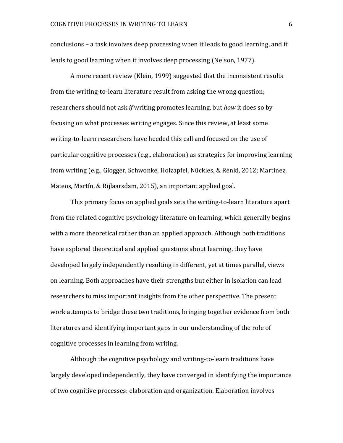conclusions – a task involves deep processing when it leads to good learning, and it leads to good learning when it involves deep processing (Nelson, 1977).

A more recent review (Klein, 1999) suggested that the inconsistent results from the writing-to-learn literature result from asking the wrong question; researchers should not ask *if* writing promotes learning, but *how* it does so by focusing on what processes writing engages. Since this review, at least some writing-to-learn researchers have heeded this call and focused on the use of particular cognitive processes (e.g., elaboration) as strategies for improving learning from writing (e.g., Glogger, Schwonke, Holzapfel, Nückles, & Renkl, 2012; Martínez, Mateos, Martín, & Rijlaarsdam, 2015), an important applied goal.

This primary focus on applied goals sets the writing-to-learn literature apart from the related cognitive psychology literature on learning, which generally begins with a more theoretical rather than an applied approach. Although both traditions have explored theoretical and applied questions about learning, they have developed largely independently resulting in different, yet at times parallel, views on learning. Both approaches have their strengths but either in isolation can lead researchers to miss important insights from the other perspective. The present work attempts to bridge these two traditions, bringing together evidence from both literatures and identifying important gaps in our understanding of the role of cognitive processes in learning from writing.

Although the cognitive psychology and writing-to-learn traditions have largely developed independently, they have converged in identifying the importance of two cognitive processes: elaboration and organization. Elaboration involves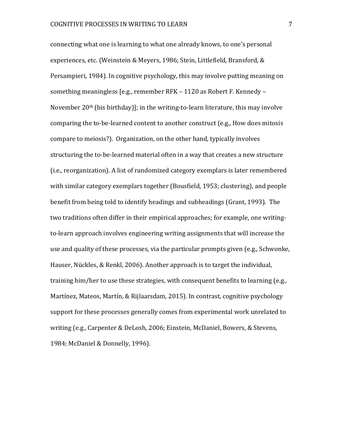connecting what one is learning to what one already knows, to one's personal experiences, etc. (Weinstein & Meyers, 1986; Stein, Littlefield, Bransford, & Persampieri, 1984). In cognitive psychology, this may involve putting meaning on something meaningless [e.g., remember RFK – 1120 as Robert F. Kennedy – November 20th (his birthday)]; in the writing-to-learn literature, this may involve comparing the to-be-learned content to another construct (e.g., How does mitosis compare to meiosis?). Organization, on the other hand, typically involves structuring the to-be-learned material often in a way that creates a new structure (i.e., reorganization). A list of randomized category exemplars is later remembered with similar category exemplars together (Bousfield, 1953; clustering), and people benefit from being told to identify headings and subheadings (Grant, 1993). The two traditions often differ in their empirical approaches; for example, one writingto-learn approach involves engineering writing assignments that will increase the use and quality of these processes, via the particular prompts given (e.g., Schwonke, Hauser, Nückles, & Renkl, 2006). Another approach is to target the individual, training him/her to use these strategies, with consequent benefits to learning (e.g., Martínez, Mateos, Martín, & Rijlaarsdam, 2015). In contrast, cognitive psychology support for these processes generally comes from experimental work unrelated to writing (e.g., Carpenter & DeLosh, 2006; Einstein, McDaniel, Bowers, & Stevens, 1984; McDaniel & Donnelly, 1996).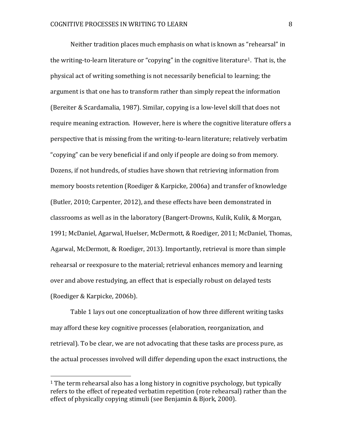Neither tradition places much emphasis on what is known as "rehearsal" in the writing-to-learn literature or "copying" in the cognitive literature<sup>1</sup>. That is, the physical act of writing something is not necessarily beneficial to learning; the argument is that one has to transform rather than simply repeat the information (Bereiter & Scardamalia, 1987). Similar, copying is a low-level skill that does not require meaning extraction. However, here is where the cognitive literature offers a perspective that is missing from the writing-to-learn literature; relatively verbatim "copying" can be very beneficial if and only if people are doing so from memory. Dozens, if not hundreds, of studies have shown that retrieving information from memory boosts retention (Roediger & Karpicke, 2006a) and transfer of knowledge (Butler, 2010; Carpenter, 2012), and these effects have been demonstrated in classrooms as well as in the laboratory (Bangert-Drowns, Kulik, Kulik, & Morgan, 1991; McDaniel, Agarwal, Huelser, McDermott, & Roediger, 2011; McDaniel, Thomas, Agarwal, McDermott, & Roediger, 2013). Importantly, retrieval is more than simple rehearsal or reexposure to the material; retrieval enhances memory and learning over and above restudying, an effect that is especially robust on delayed tests (Roediger & Karpicke, 2006b).

Table 1 lays out one conceptualization of how three different writing tasks may afford these key cognitive processes (elaboration, reorganization, and retrieval). To be clear, we are not advocating that these tasks are process pure, as the actual processes involved will differ depending upon the exact instructions, the

 $\overline{a}$ 

<sup>&</sup>lt;sup>1</sup> The term rehearsal also has a long history in cognitive psychology, but typically refers to the effect of repeated verbatim repetition (rote rehearsal) rather than the effect of physically copying stimuli (see Benjamin & Bjork, 2000).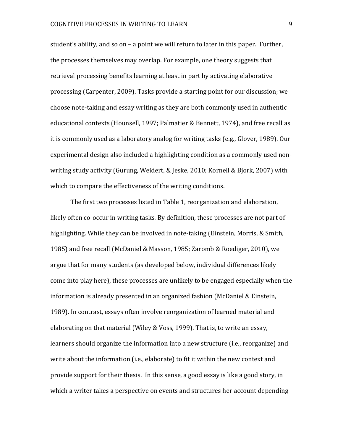student's ability, and so on – a point we will return to later in this paper. Further, the processes themselves may overlap. For example, one theory suggests that retrieval processing benefits learning at least in part by activating elaborative processing (Carpenter, 2009). Tasks provide a starting point for our discussion; we choose note-taking and essay writing as they are both commonly used in authentic educational contexts (Hounsell, 1997; Palmatier & Bennett, 1974), and free recall as it is commonly used as a laboratory analog for writing tasks (e.g., Glover, 1989). Our experimental design also included a highlighting condition as a commonly used nonwriting study activity (Gurung, Weidert, & Jeske, 2010; Kornell & Bjork, 2007) with which to compare the effectiveness of the writing conditions.

The first two processes listed in Table 1, reorganization and elaboration, likely often co-occur in writing tasks. By definition, these processes are not part of highlighting. While they can be involved in note-taking (Einstein, Morris, & Smith, 1985) and free recall (McDaniel & Masson, 1985; Zaromb & Roediger, 2010), we argue that for many students (as developed below, individual differences likely come into play here), these processes are unlikely to be engaged especially when the information is already presented in an organized fashion (McDaniel & Einstein, 1989). In contrast, essays often involve reorganization of learned material and elaborating on that material (Wiley & Voss, 1999). That is, to write an essay, learners should organize the information into a new structure (i.e., reorganize) and write about the information (i.e., elaborate) to fit it within the new context and provide support for their thesis. In this sense, a good essay is like a good story, in which a writer takes a perspective on events and structures her account depending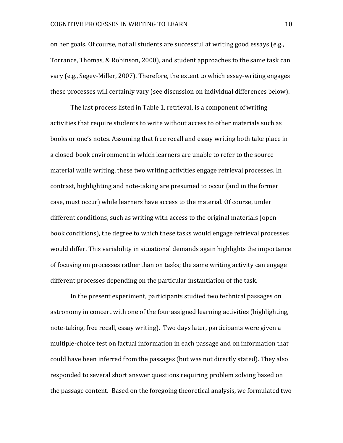#### COGNITIVE PROCESSES IN WRITING TO LEARN 10

on her goals. Of course, not all students are successful at writing good essays (e.g., Torrance, Thomas, & Robinson, 2000), and student approaches to the same task can vary (e.g., Segev-Miller, 2007). Therefore, the extent to which essay-writing engages these processes will certainly vary (see discussion on individual differences below).

The last process listed in Table 1, retrieval, is a component of writing activities that require students to write without access to other materials such as books or one's notes. Assuming that free recall and essay writing both take place in a closed-book environment in which learners are unable to refer to the source material while writing, these two writing activities engage retrieval processes. In contrast, highlighting and note-taking are presumed to occur (and in the former case, must occur) while learners have access to the material. Of course, under different conditions, such as writing with access to the original materials (openbook conditions), the degree to which these tasks would engage retrieval processes would differ. This variability in situational demands again highlights the importance of focusing on processes rather than on tasks; the same writing activity can engage different processes depending on the particular instantiation of the task.

In the present experiment, participants studied two technical passages on astronomy in concert with one of the four assigned learning activities (highlighting, note-taking, free recall, essay writing). Two days later, participants were given a multiple-choice test on factual information in each passage and on information that could have been inferred from the passages (but was not directly stated). They also responded to several short answer questions requiring problem solving based on the passage content. Based on the foregoing theoretical analysis, we formulated two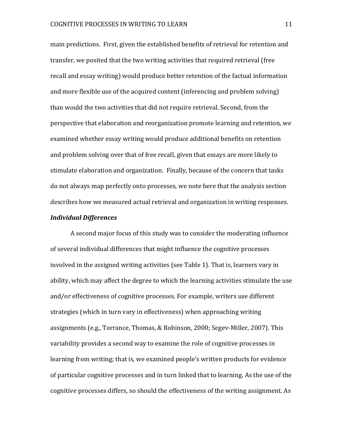main predictions. First, given the established benefits of retrieval for retention and transfer, we posited that the two writing activities that required retrieval (free recall and essay writing) would produce better retention of the factual information and more flexible use of the acquired content (inferencing and problem solving) than would the two activities that did not require retrieval. Second, from the perspective that elaboration and reorganization promote learning and retention, we examined whether essay writing would produce additional benefits on retention and problem solving over that of free recall, given that essays are more likely to stimulate elaboration and organization. Finally, because of the concern that tasks do not always map perfectly onto processes, we note here that the analysis section describes how we measured actual retrieval and organization in writing responses.

#### *Individual Differences*

A second major focus of this study was to consider the moderating influence of several individual differences that might influence the cognitive processes involved in the assigned writing activities (see Table 1). That is, learners vary in ability, which may affect the degree to which the learning activities stimulate the use and/or effectiveness of cognitive processes. For example, writers use different strategies (which in turn vary in effectiveness) when approaching writing assignments (e.g., Torrance, Thomas, & Robinson, 2000; Segev-Miller, 2007). This variability provides a second way to examine the role of cognitive processes in learning from writing; that is, we examined people's written products for evidence of particular cognitive processes and in turn linked that to learning. As the use of the cognitive processes differs, so should the effectiveness of the writing assignment. As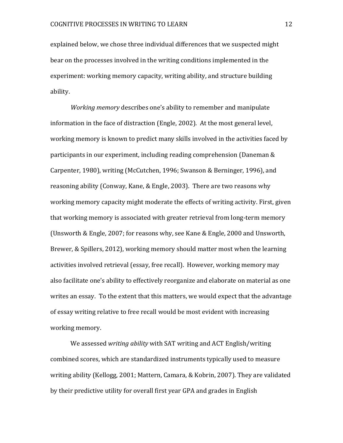explained below, we chose three individual differences that we suspected might bear on the processes involved in the writing conditions implemented in the experiment: working memory capacity, writing ability, and structure building ability.

*Working memory* describes one's ability to remember and manipulate information in the face of distraction (Engle, 2002). At the most general level, working memory is known to predict many skills involved in the activities faced by participants in our experiment, including reading comprehension (Daneman & Carpenter, 1980), writing (McCutchen, 1996; Swanson & Berninger, 1996), and reasoning ability (Conway, Kane, & Engle, 2003). There are two reasons why working memory capacity might moderate the effects of writing activity. First, given that working memory is associated with greater retrieval from long-term memory (Unsworth & Engle, 2007; for reasons why, see Kane & Engle, 2000 and Unsworth, Brewer, & Spillers, 2012), working memory should matter most when the learning activities involved retrieval (essay, free recall). However, working memory may also facilitate one's ability to effectively reorganize and elaborate on material as one writes an essay. To the extent that this matters, we would expect that the advantage of essay writing relative to free recall would be most evident with increasing working memory.

We assessed *writing ability* with SAT writing and ACT English/writing combined scores, which are standardized instruments typically used to measure writing ability (Kellogg, 2001; Mattern, Camara, & Kobrin, 2007). They are validated by their predictive utility for overall first year GPA and grades in English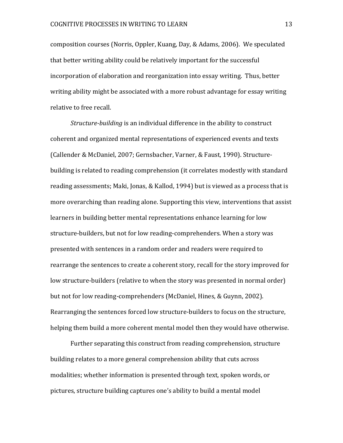composition courses (Norris, Oppler, Kuang, Day, & Adams, 2006). We speculated that better writing ability could be relatively important for the successful incorporation of elaboration and reorganization into essay writing. Thus, better writing ability might be associated with a more robust advantage for essay writing relative to free recall.

*Structure-building* is an individual difference in the ability to construct coherent and organized mental representations of experienced events and texts (Callender & McDaniel, 2007; Gernsbacher, Varner, & Faust, 1990). Structurebuilding is related to reading comprehension (it correlates modestly with standard reading assessments; Maki, Jonas, & Kallod, 1994) but is viewed as a process that is more overarching than reading alone. Supporting this view, interventions that assist learners in building better mental representations enhance learning for low structure-builders, but not for low reading-comprehenders. When a story was presented with sentences in a random order and readers were required to rearrange the sentences to create a coherent story, recall for the story improved for low structure-builders (relative to when the story was presented in normal order) but not for low reading-comprehenders (McDaniel, Hines, & Guynn, 2002). Rearranging the sentences forced low structure-builders to focus on the structure, helping them build a more coherent mental model then they would have otherwise.

Further separating this construct from reading comprehension, structure building relates to a more general comprehension ability that cuts across modalities; whether information is presented through text, spoken words, or pictures, structure building captures one's ability to build a mental model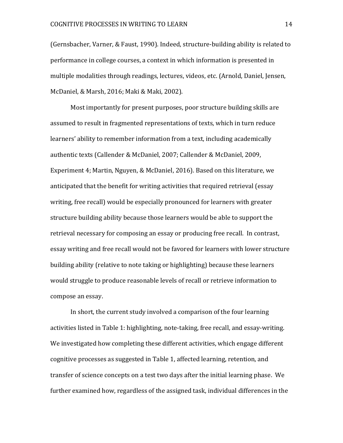(Gernsbacher, Varner, & Faust, 1990). Indeed, structure-building ability is related to performance in college courses, a context in which information is presented in multiple modalities through readings, lectures, videos, etc. (Arnold, Daniel, Jensen, McDaniel, & Marsh, 2016; Maki & Maki, 2002).

Most importantly for present purposes, poor structure building skills are assumed to result in fragmented representations of texts, which in turn reduce learners' ability to remember information from a text, including academically authentic texts (Callender & McDaniel, 2007; Callender & McDaniel, 2009, Experiment 4; Martin, Nguyen, & McDaniel, 2016). Based on this literature, we anticipated that the benefit for writing activities that required retrieval (essay writing, free recall) would be especially pronounced for learners with greater structure building ability because those learners would be able to support the retrieval necessary for composing an essay or producing free recall. In contrast, essay writing and free recall would not be favored for learners with lower structure building ability (relative to note taking or highlighting) because these learners would struggle to produce reasonable levels of recall or retrieve information to compose an essay.

In short, the current study involved a comparison of the four learning activities listed in Table 1: highlighting, note-taking, free recall, and essay-writing. We investigated how completing these different activities, which engage different cognitive processes as suggested in Table 1, affected learning, retention, and transfer of science concepts on a test two days after the initial learning phase. We further examined how, regardless of the assigned task, individual differences in the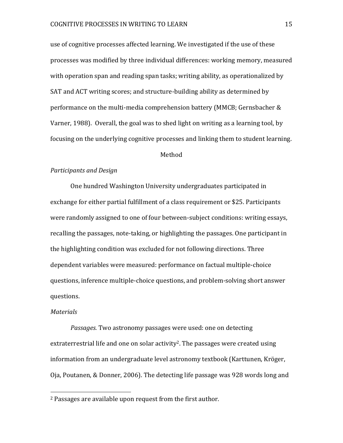use of cognitive processes affected learning. We investigated if the use of these processes was modified by three individual differences: working memory, measured with operation span and reading span tasks; writing ability, as operationalized by SAT and ACT writing scores; and structure-building ability as determined by performance on the multi-media comprehension battery (MMCB; Gernsbacher & Varner, 1988). Overall, the goal was to shed light on writing as a learning tool, by focusing on the underlying cognitive processes and linking them to student learning.

#### Method

#### *Participants and Design*

One hundred Washington University undergraduates participated in exchange for either partial fulfillment of a class requirement or \$25. Participants were randomly assigned to one of four between-subject conditions: writing essays, recalling the passages, note-taking, or highlighting the passages. One participant in the highlighting condition was excluded for not following directions. Three dependent variables were measured: performance on factual multiple-choice questions, inference multiple-choice questions, and problem-solving short answer questions.

#### *Materials*

l

*Passages.* Two astronomy passages were used: one on detecting extraterrestrial life and one on solar activity<sup>2</sup>. The passages were created using information from an undergraduate level astronomy textbook (Karttunen, Kröger, Oja, Poutanen, & Donner, 2006). The detecting life passage was 928 words long and

<sup>2</sup> Passages are available upon request from the first author.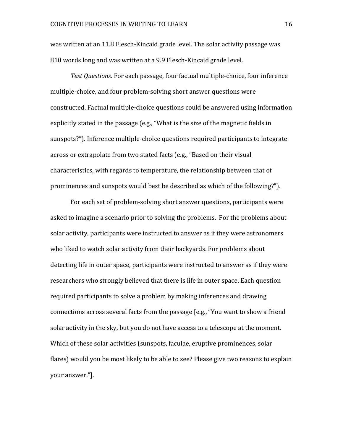was written at an 11.8 Flesch-Kincaid grade level. The solar activity passage was 810 words long and was written at a 9.9 Flesch-Kincaid grade level.

*Test Questions.* For each passage, four factual multiple-choice, four inference multiple-choice, and four problem-solving short answer questions were constructed. Factual multiple-choice questions could be answered using information explicitly stated in the passage (e.g., "What is the size of the magnetic fields in sunspots?"). Inference multiple-choice questions required participants to integrate across or extrapolate from two stated facts (e.g., "Based on their visual characteristics, with regards to temperature, the relationship between that of prominences and sunspots would best be described as which of the following?").

For each set of problem-solving short answer questions, participants were asked to imagine a scenario prior to solving the problems. For the problems about solar activity, participants were instructed to answer as if they were astronomers who liked to watch solar activity from their backyards. For problems about detecting life in outer space, participants were instructed to answer as if they were researchers who strongly believed that there is life in outer space. Each question required participants to solve a problem by making inferences and drawing connections across several facts from the passage [e.g., "You want to show a friend solar activity in the sky, but you do not have access to a telescope at the moment. Which of these solar activities (sunspots, faculae, eruptive prominences, solar flares) would you be most likely to be able to see? Please give two reasons to explain your answer."].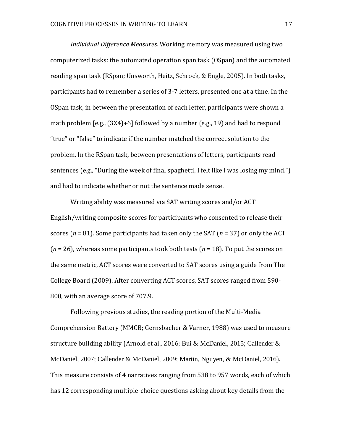*Individual Difference Measures.* Working memory was measured using two computerized tasks: the automated operation span task (OSpan) and the automated reading span task (RSpan; Unsworth, Heitz, Schrock, & Engle, 2005). In both tasks, participants had to remember a series of 3-7 letters, presented one at a time. In the OSpan task, in between the presentation of each letter, participants were shown a math problem [e.g., (3X4)+6] followed by a number (e.g., 19) and had to respond "true" or "false" to indicate if the number matched the correct solution to the problem. In the RSpan task, between presentations of letters, participants read sentences (e.g., "During the week of final spaghetti, I felt like I was losing my mind.") and had to indicate whether or not the sentence made sense.

Writing ability was measured via SAT writing scores and/or ACT English/writing composite scores for participants who consented to release their scores (*n* = 81). Some participants had taken only the SAT (*n* = 37) or only the ACT (*n* = 26), whereas some participants took both tests (*n* = 18). To put the scores on the same metric, ACT scores were converted to SAT scores using a guide from The College Board (2009). After converting ACT scores, SAT scores ranged from 590- 800, with an average score of 707.9.

Following previous studies, the reading portion of the Multi-Media Comprehension Battery (MMCB; Gernsbacher & Varner, 1988) was used to measure structure building ability (Arnold et al., 2016; Bui & McDaniel, 2015; Callender & McDaniel, 2007; Callender & McDaniel, 2009; Martin, Nguyen, & McDaniel, 2016). This measure consists of 4 narratives ranging from 538 to 957 words, each of which has 12 corresponding multiple-choice questions asking about key details from the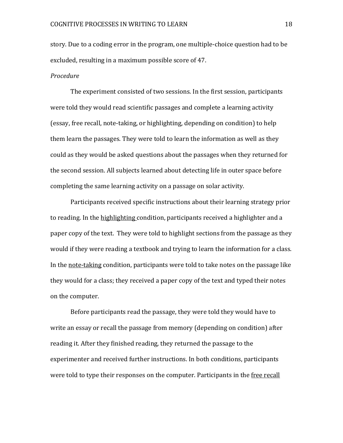story. Due to a coding error in the program, one multiple-choice question had to be excluded, resulting in a maximum possible score of 47.

#### *Procedure*

The experiment consisted of two sessions. In the first session, participants were told they would read scientific passages and complete a learning activity (essay, free recall, note-taking, or highlighting, depending on condition) to help them learn the passages. They were told to learn the information as well as they could as they would be asked questions about the passages when they returned for the second session. All subjects learned about detecting life in outer space before completing the same learning activity on a passage on solar activity.

Participants received specific instructions about their learning strategy prior to reading. In the highlighting condition, participants received a highlighter and a paper copy of the text. They were told to highlight sections from the passage as they would if they were reading a textbook and trying to learn the information for a class. In the note-taking condition, participants were told to take notes on the passage like they would for a class; they received a paper copy of the text and typed their notes on the computer.

Before participants read the passage, they were told they would have to write an essay or recall the passage from memory (depending on condition) after reading it. After they finished reading, they returned the passage to the experimenter and received further instructions. In both conditions, participants were told to type their responses on the computer. Participants in the free recall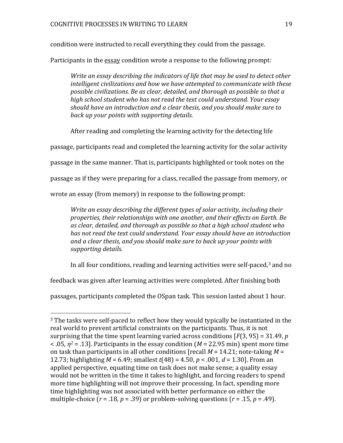condition were instructed to recall everything they could from the passage.

Participants in the essay condition wrote a response to the following prompt:

*Write an essay describing the indicators of life that may be used to detect other intelligent civilizations and how we have attempted to communicate with these possible civilizations. Be as clear, detailed, and thorough as possible so that a high school student who has not read the text could understand. Your essay should have an introduction and a clear thesis, and you should make sure to back up your points with supporting details.*

After reading and completing the learning activity for the detecting life

passage, participants read and completed the learning activity for the solar activity

passage in the same manner. That is, participants highlighted or took notes on the

passage as if they were preparing for a class, recalled the passage from memory, or

wrote an essay (from memory) in response to the following prompt:

*Write an essay describing the different types of solar activity, including their properties, their relationships with one another, and their effects on Earth. Be as clear, detailed, and thorough as possible so that a high school student who has not read the text could understand. Your essay should have an introduction and a clear thesis, and you should make sure to back up your points with supporting details.*

In all four conditions, reading and learning activities were self-paced, <sup>3</sup> and no

feedback was given after learning activities were completed. After finishing both

passages, participants completed the OSpan task. This session lasted about 1 hour.

 $\overline{a}$ 

<sup>&</sup>lt;sup>3</sup> The tasks were self-paced to reflect how they would typically be instantiated in the real world to prevent artificial constraints on the participants. Thus, it is not surprising that the time spent learning varied across conditions [*F*(3, 95) = 31.49, *p* < .05, *η<sup>2</sup>* = .13]. Participants in the essay condition (*M* = 22.95 min) spent more time on task than participants in all other conditions [recall *M* = 14.21; note-taking *M* = 12.73; highlighting *M* = 6.49; smallest *t*(48) = 4.50, *p* < .001, *d* = 1.30]. From an applied perspective, equating time on task does not make sense; a quality essay would not be written in the time it takes to highlight, and forcing readers to spend more time highlighting will not improve their processing. In fact, spending more time highlighting was not associated with better performance on either the multiple-choice  $(r = .18, p = .39)$  or problem-solving questions  $(r = .15, p = .49)$ .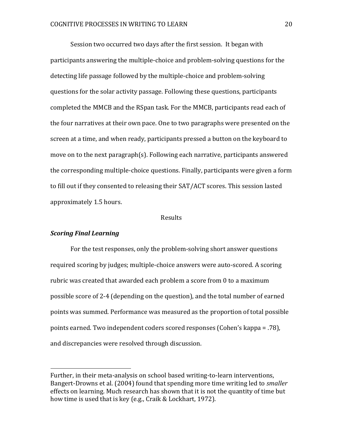Session two occurred two days after the first session. It began with participants answering the multiple-choice and problem-solving questions for the detecting life passage followed by the multiple-choice and problem-solving questions for the solar activity passage. Following these questions, participants completed the MMCB and the RSpan task. For the MMCB, participants read each of the four narratives at their own pace. One to two paragraphs were presented on the screen at a time, and when ready, participants pressed a button on the keyboard to move on to the next paragraph(s). Following each narrative, participants answered the corresponding multiple-choice questions. Finally, participants were given a form to fill out if they consented to releasing their SAT/ACT scores. This session lasted approximately 1.5 hours.

#### Results

#### *Scoring Final Learning*

 $\overline{a}$ 

For the test responses, only the problem-solving short answer questions required scoring by judges; multiple-choice answers were auto-scored. A scoring rubric was created that awarded each problem a score from 0 to a maximum possible score of 2-4 (depending on the question), and the total number of earned points was summed. Performance was measured as the proportion of total possible points earned. Two independent coders scored responses (Cohen's kappa = .78), and discrepancies were resolved through discussion.

Further, in their meta-analysis on school based writing-to-learn interventions, Bangert-Drowns et al. (2004) found that spending more time writing led to *smaller*  effects on learning. Much research has shown that it is not the quantity of time but how time is used that is key (e.g., Craik & Lockhart, 1972).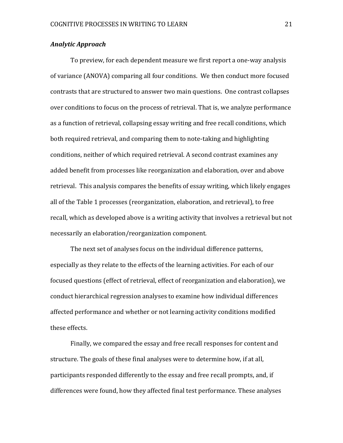### *Analytic Approach*

To preview, for each dependent measure we first report a one-way analysis of variance (ANOVA) comparing all four conditions. We then conduct more focused contrasts that are structured to answer two main questions. One contrast collapses over conditions to focus on the process of retrieval. That is, we analyze performance as a function of retrieval, collapsing essay writing and free recall conditions, which both required retrieval, and comparing them to note-taking and highlighting conditions, neither of which required retrieval. A second contrast examines any added benefit from processes like reorganization and elaboration, over and above retrieval. This analysis compares the benefits of essay writing, which likely engages all of the Table 1 processes (reorganization, elaboration, and retrieval), to free recall, which as developed above is a writing activity that involves a retrieval but not necessarily an elaboration/reorganization component.

The next set of analyses focus on the individual difference patterns, especially as they relate to the effects of the learning activities. For each of our focused questions (effect of retrieval, effect of reorganization and elaboration), we conduct hierarchical regression analyses to examine how individual differences affected performance and whether or not learning activity conditions modified these effects.

Finally, we compared the essay and free recall responses for content and structure. The goals of these final analyses were to determine how, if at all, participants responded differently to the essay and free recall prompts, and, if differences were found, how they affected final test performance. These analyses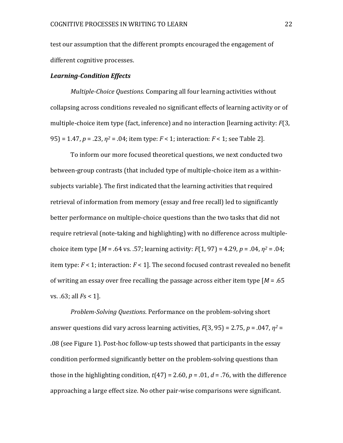test our assumption that the different prompts encouraged the engagement of different cognitive processes.

#### *Learning-Condition Effects*

*Multiple-Choice Questions.* Comparing all four learning activities without collapsing across conditions revealed no significant effects of learning activity or of multiple-choice item type (fact, inference) and no interaction [learning activity: *F*(3, 95) = 1.47, *p* = .23, *η<sup>2</sup>* = .04; item type: *F* < 1; interaction: *F* < 1; see Table 2].

To inform our more focused theoretical questions, we next conducted two between-group contrasts (that included type of multiple-choice item as a withinsubjects variable). The first indicated that the learning activities that required retrieval of information from memory (essay and free recall) led to significantly better performance on multiple-choice questions than the two tasks that did not require retrieval (note-taking and highlighting) with no difference across multiplechoice item type [*M* = .64 vs. .57; learning activity: *F*(1, 97) = 4.29, *p* = .04, *η<sup>2</sup>* = .04; item type: *F* < 1; interaction: *F* < 1]. The second focused contrast revealed no benefit of writing an essay over free recalling the passage across either item type [*M* = .65 vs. .63; all *F*s < 1].

*Problem-Solving Questions*. Performance on the problem-solving short answer questions did vary across learning activities, *F*(3, 95) = 2.75, *p* = .047, *η<sup>2</sup>* = .08 (see Figure 1). Post-hoc follow-up tests showed that participants in the essay condition performed significantly better on the problem-solving questions than those in the highlighting condition,  $t(47) = 2.60$ ,  $p = .01$ ,  $d = .76$ , with the difference approaching a large effect size. No other pair-wise comparisons were significant.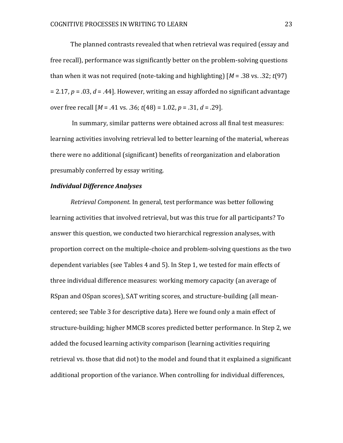The planned contrasts revealed that when retrieval was required (essay and free recall), performance was significantly better on the problem-solving questions than when it was not required (note-taking and highlighting) [*M* = .38 vs. .32; *t*(97) = 2.17, *p* = .03, *d* = .44]. However, writing an essay afforded no significant advantage over free recall [*M* = .41 vs. .36; *t*(48) = 1.02, *p* = .31, *d* = .29].

In summary, similar patterns were obtained across all final test measures: learning activities involving retrieval led to better learning of the material, whereas there were no additional (significant) benefits of reorganization and elaboration presumably conferred by essay writing.

#### *Individual Difference Analyses*

*Retrieval Component.* In general, test performance was better following learning activities that involved retrieval, but was this true for all participants? To answer this question, we conducted two hierarchical regression analyses, with proportion correct on the multiple-choice and problem-solving questions as the two dependent variables (see Tables 4 and 5). In Step 1, we tested for main effects of three individual difference measures: working memory capacity (an average of RSpan and OSpan scores), SAT writing scores, and structure-building (all meancentered; see Table 3 for descriptive data). Here we found only a main effect of structure-building; higher MMCB scores predicted better performance. In Step 2, we added the focused learning activity comparison (learning activities requiring retrieval vs. those that did not) to the model and found that it explained a significant additional proportion of the variance. When controlling for individual differences,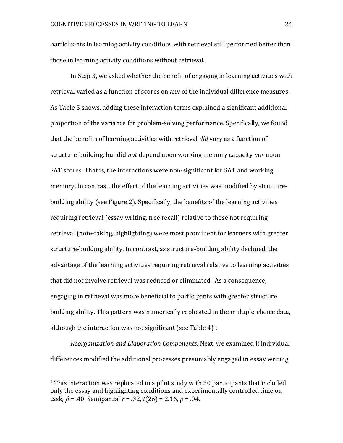participants in learning activity conditions with retrieval still performed better than those in learning activity conditions without retrieval.

In Step 3, we asked whether the benefit of engaging in learning activities with retrieval varied as a function of scores on any of the individual difference measures. As Table 5 shows, adding these interaction terms explained a significant additional proportion of the variance for problem-solving performance. Specifically, we found that the benefits of learning activities with retrieval *did* vary as a function of structure-building, but did *not* depend upon working memory capacity *nor* upon SAT scores. That is, the interactions were non-significant for SAT and working memory. In contrast, the effect of the learning activities was modified by structurebuilding ability (see Figure 2). Specifically, the benefits of the learning activities requiring retrieval (essay writing, free recall) relative to those not requiring retrieval (note-taking, highlighting) were most prominent for learners with greater structure-building ability. In contrast, as structure-building ability declined, the advantage of the learning activities requiring retrieval relative to learning activities that did not involve retrieval was reduced or eliminated. As a consequence, engaging in retrieval was more beneficial to participants with greater structure building ability. This pattern was numerically replicated in the multiple-choice data, although the interaction was not significant (see Table 4) 4.

*Reorganization and Elaboration Components.* Next, we examined if individual differences modified the additional processes presumably engaged in essay writing

 $\overline{a}$ 

<sup>4</sup> This interaction was replicated in a pilot study with 30 participants that included only the essay and highlighting conditions and experimentally controlled time on task,  $\beta$  = .40, Semipartial  $r$  = .32,  $t$ (26) = 2.16,  $p$  = .04.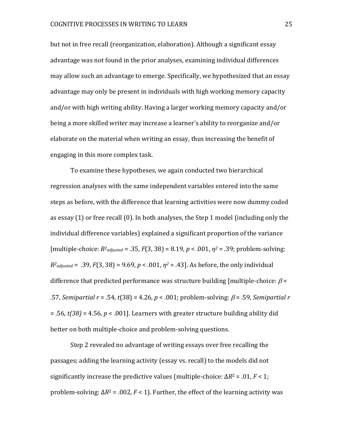but not in free recall (reorganization, elaboration). Although a significant essay advantage was not found in the prior analyses, examining individual differences may allow such an advantage to emerge. Specifically, we hypothesized that an essay advantage may only be present in individuals with high working memory capacity and/or with high writing ability. Having a larger working memory capacity and/or being a more skilled writer may increase a learner's ability to reorganize and/or elaborate on the material when writing an essay, thus increasing the benefit of engaging in this more complex task.

To examine these hypotheses, we again conducted two hierarchical regression analyses with the same independent variables entered into the same steps as before, with the difference that learning activities were now dummy coded as essay (1) or free recall (0). In both analyses, the Step 1 model (including only the individual difference variables) explained a significant proportion of the variance  $[multiplet-choice:  $R^2_{adjusted} = .35, F(3, 38) = 8.19, p < .001, \eta^2 = .39$ ; problem-solving:$  $R^2$ adjusted = .39,  $F(3, 38) = 9.69$ ,  $p < .001$ ,  $\eta^2 = .43$ ]. As before, the only individual difference that predicted performance was structure building [multiple-choice:  $\beta$  =  $.57$ , *Semipartial r* = .54, *t*(38) = 4.26, *p* < .001; problem-solving:  $\beta$  = .59, *Semipartial r* = .56, *t(38)* = 4.56*, p* < .001]. Learners with greater structure building ability did better on both multiple-choice and problem-solving questions.

Step 2 revealed no advantage of writing essays over free recalling the passages; adding the learning activity (essay vs. recall) to the models did not significantly increase the predictive values (multiple-choice:  $\Delta R^2 = .01$ ,  $F < 1$ ; problem-solving:  $\Delta R^2$  = .002,  $F$  < 1). Further, the effect of the learning activity was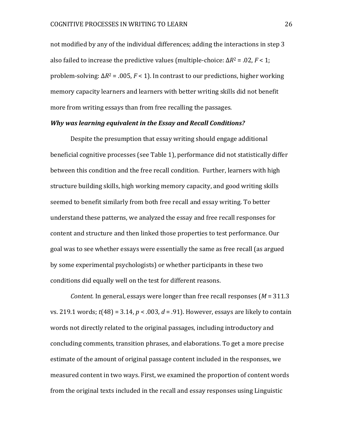not modified by any of the individual differences; adding the interactions in step 3 also failed to increase the predictive values (multiple-choice:  $\Delta R^2 = .02$ ,  $F < 1$ ; problem-solving: Δ*R*<sup>2</sup> = .005, *F* < 1). In contrast to our predictions, higher working memory capacity learners and learners with better writing skills did not benefit more from writing essays than from free recalling the passages.

#### *Why was learning equivalent in the Essay and Recall Conditions?*

Despite the presumption that essay writing should engage additional beneficial cognitive processes (see Table 1), performance did not statistically differ between this condition and the free recall condition. Further, learners with high structure building skills, high working memory capacity, and good writing skills seemed to benefit similarly from both free recall and essay writing. To better understand these patterns, we analyzed the essay and free recall responses for content and structure and then linked those properties to test performance. Our goal was to see whether essays were essentially the same as free recall (as argued by some experimental psychologists) or whether participants in these two conditions did equally well on the test for different reasons.

*Content.* In general, essays were longer than free recall responses (*M* = 311.3 vs. 219.1 words; *t*(48) = 3.14, *p* < .003, *d* = .91). However, essays are likely to contain words not directly related to the original passages, including introductory and concluding comments, transition phrases, and elaborations. To get a more precise estimate of the amount of original passage content included in the responses, we measured content in two ways. First, we examined the proportion of content words from the original texts included in the recall and essay responses using Linguistic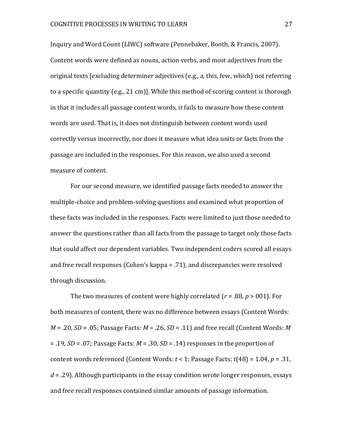Inquiry and Word Count (LIWC) software (Pennebaker, Booth, & Francis, 2007). Content words were defined as nouns, action verbs, and most adjectives from the original texts [excluding determiner adjectives (e.g., a, this, few, which) not referring to a specific quantity (e.g., 21 cm)]. While this method of scoring content is thorough in that it includes all passage content words, it fails to measure how these content words are used. That is, it does not distinguish between content words used correctly versus incorrectly, nor does it measure what idea units or facts from the passage are included in the responses. For this reason, we also used a second measure of content.

For our second measure, we identified passage facts needed to answer the multiple-choice and problem-solving questions and examined what proportion of these facts was included in the responses. Facts were limited to just those needed to answer the questions rather than all facts from the passage to target only those facts that could affect our dependent variables. Two independent coders scored all essays and free recall responses (Cohen's kappa = .71), and discrepancies were resolved through discussion.

The two measures of content were highly correlated (*r* = .88, *p* > 001). For both measures of content, there was no difference between essays (Content Words: *M* = .20, *SD* = .05; Passage Facts: *M* = .26, *SD* = .11) and free recall (Content Words: *M* = .19, *SD* = .07; Passage Facts: *M* = .30, *SD* = .14) responses in the proportion of content words referenced (Content Words: *t* < 1; Passage Facts: *t*(48) = 1.04, *p* = .31, *d* = .29). Although participants in the essay condition wrote longer responses, essays and free recall responses contained similar amounts of passage information.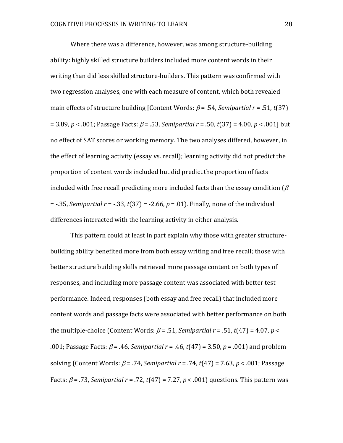Where there was a difference, however, was among structure-building ability: highly skilled structure builders included more content words in their writing than did less skilled structure-builders. This pattern was confirmed with two regression analyses, one with each measure of content, which both revealed main effects of structure building [Content Words:  $\beta$  = .54, *Semipartial r* = .51, *t*(37)  $= 3.89, p < .001$ ; Passage Facts:  $\beta = .53$ , *Semipartial r* = .50, *t*(37) = 4.00, *p* < .001] but no effect of SAT scores or working memory. The two analyses differed, however, in the effect of learning activity (essay vs. recall); learning activity did not predict the proportion of content words included but did predict the proportion of facts included with free recall predicting more included facts than the essay condition ( $\beta$ = -.35, *Semipartial r* = -.33, *t*(37) = -2.66, *p* = .01). Finally, none of the individual differences interacted with the learning activity in either analysis.

This pattern could at least in part explain why those with greater structurebuilding ability benefited more from both essay writing and free recall; those with better structure building skills retrieved more passage content on both types of responses, and including more passage content was associated with better test performance. Indeed, responses (both essay and free recall) that included more content words and passage facts were associated with better performance on both the multiple-choice (Content Words:  $\beta$  = .51, *Semipartial r* = .51, *t*(47) = 4.07, *p* < .001; Passage Facts:  $\beta$  = .46, *Semipartial r* = .46,  $t(47)$  = 3.50,  $p$  = .001) and problemsolving (Content Words:  $\beta$  = .74, *Semipartial r* = .74,  $t$ (47) = 7.63, *p* < .001; Passage Facts:  $\beta$  = .73, *Semipartial r* = .72,  $t(47)$  = 7.27,  $p$  < .001) questions. This pattern was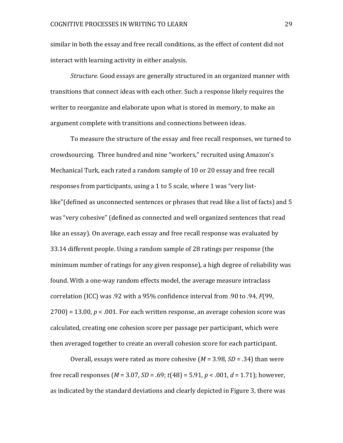similar in both the essay and free recall conditions, as the effect of content did not interact with learning activity in either analysis.

*Structure.* Good essays are generally structured in an organized manner with transitions that connect ideas with each other. Such a response likely requires the writer to reorganize and elaborate upon what is stored in memory, to make an argument complete with transitions and connections between ideas.

To measure the structure of the essay and free recall responses, we turned to crowdsourcing. Three hundred and nine "workers," recruited using Amazon's Mechanical Turk, each rated a random sample of 10 or 20 essay and free recall responses from participants, using a 1 to 5 scale, where 1 was "very listlike"(defined as unconnected sentences or phrases that read like a list of facts) and 5 was "very cohesive" (defined as connected and well organized sentences that read like an essay). On average, each essay and free recall response was evaluated by 33.14 different people. Using a random sample of 28 ratings per response (the minimum number of ratings for any given response), a high degree of reliability was found. With a one-way random effects model, the average measure intraclass correlation (ICC) was .92 with a 95% confidence interval from .90 to .94, *F*(99,  $2700$ ) = 13.00,  $p < 0.01$ . For each written response, an average cohesion score was calculated, creating one cohesion score per passage per participant, which were then averaged together to create an overall cohesion score for each participant.

Overall, essays were rated as more cohesive (*M* = 3.98, *SD* = .34) than were free recall responses (*M* = 3.07, *SD* = .69; *t*(48) = 5.91, *p* < .001, *d* = 1.71); however, as indicated by the standard deviations and clearly depicted in Figure 3, there was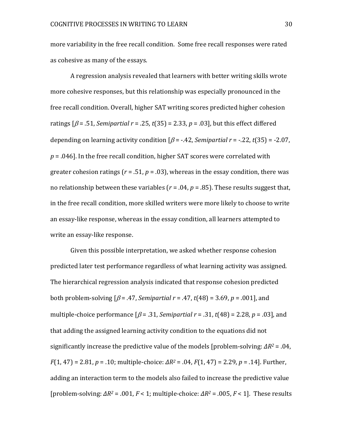more variability in the free recall condition. Some free recall responses were rated as cohesive as many of the essays.

A regression analysis revealed that learners with better writing skills wrote more cohesive responses, but this relationship was especially pronounced in the free recall condition. Overall, higher SAT writing scores predicted higher cohesion ratings  $\beta$  = .51, *Semipartial r* = .25,  $t(35)$  = 2.33,  $p$  = .03], but this effect differed depending on learning activity condition  $\beta$  = -.42, *Semipartial*  $r$  = -.22,  $t(35)$  = -2.07, *p* = .046]. In the free recall condition, higher SAT scores were correlated with greater cohesion ratings ( $r = .51$ ,  $p = .03$ ), whereas in the essay condition, there was no relationship between these variables ( $r = .04$ ,  $p = .85$ ). These results suggest that, in the free recall condition, more skilled writers were more likely to choose to write an essay-like response, whereas in the essay condition, all learners attempted to write an essay-like response.

Given this possible interpretation, we asked whether response cohesion predicted later test performance regardless of what learning activity was assigned. The hierarchical regression analysis indicated that response cohesion predicted both problem-solving  $\beta = .47$ , *Semipartial r* = .47,  $t(48) = 3.69$ ,  $p = .001$ , and multiple-choice performance  $\beta$  = .31, *Semipartial*  $r$  = .31,  $t$ (48) = 2.28,  $p$  = .03], and that adding the assigned learning activity condition to the equations did not significantly increase the predictive value of the models [problem-solving: *ΔR<sup>2</sup>* = .04, *F*(1, 47) = 2.81, *p* = .10; multiple-choice: *ΔR<sup>2</sup>* = .04, *F*(1, 47) = 2.29, *p* = .14]. Further, adding an interaction term to the models also failed to increase the predictive value [problem-solving: *ΔR<sup>2</sup>* = .001, *F* < 1; multiple-choice: *ΔR<sup>2</sup>* = .005, *F* < 1]. These results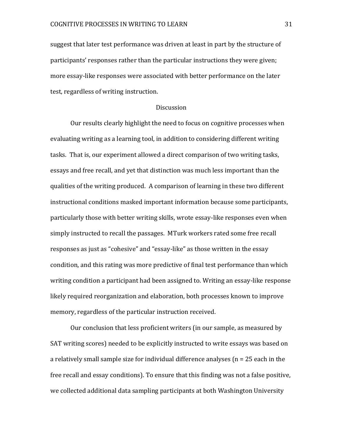suggest that later test performance was driven at least in part by the structure of participants' responses rather than the particular instructions they were given; more essay-like responses were associated with better performance on the later test, regardless of writing instruction.

#### **Discussion**

Our results clearly highlight the need to focus on cognitive processes when evaluating writing as a learning tool, in addition to considering different writing tasks. That is, our experiment allowed a direct comparison of two writing tasks, essays and free recall, and yet that distinction was much less important than the qualities of the writing produced. A comparison of learning in these two different instructional conditions masked important information because some participants, particularly those with better writing skills, wrote essay-like responses even when simply instructed to recall the passages. MTurk workers rated some free recall responses as just as "cohesive" and "essay-like" as those written in the essay condition, and this rating was more predictive of final test performance than which writing condition a participant had been assigned to. Writing an essay-like response likely required reorganization and elaboration, both processes known to improve memory, regardless of the particular instruction received.

Our conclusion that less proficient writers (in our sample, as measured by SAT writing scores) needed to be explicitly instructed to write essays was based on a relatively small sample size for individual difference analyses (n = 25 each in the free recall and essay conditions). To ensure that this finding was not a false positive, we collected additional data sampling participants at both Washington University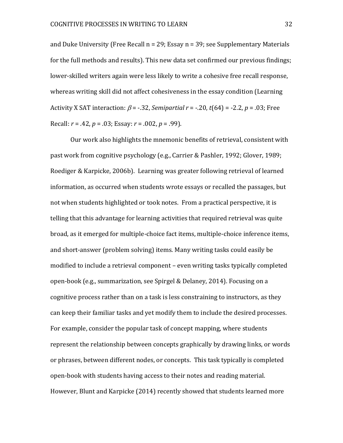and Duke University (Free Recall n = 29; Essay n = 39; see Supplementary Materials for the full methods and results). This new data set confirmed our previous findings; lower-skilled writers again were less likely to write a cohesive free recall response, whereas writing skill did not affect cohesiveness in the essay condition (Learning Activity X SAT interaction:  $\beta$  = -.32, *Semipartial r* = -.20, *t*(64) = -2.2, *p* = .03; Free Recall: *r* = .42, *p* = .03; Essay: *r* = .002, *p* = .99).

Our work also highlights the mnemonic benefits of retrieval, consistent with past work from cognitive psychology (e.g., Carrier & Pashler, 1992; Glover, 1989; Roediger & Karpicke, 2006b). Learning was greater following retrieval of learned information, as occurred when students wrote essays or recalled the passages, but not when students highlighted or took notes. From a practical perspective, it is telling that this advantage for learning activities that required retrieval was quite broad, as it emerged for multiple-choice fact items, multiple-choice inference items, and short-answer (problem solving) items. Many writing tasks could easily be modified to include a retrieval component – even writing tasks typically completed open-book (e.g., summarization, see Spirgel & Delaney, 2014). Focusing on a cognitive process rather than on a task is less constraining to instructors, as they can keep their familiar tasks and yet modify them to include the desired processes. For example, consider the popular task of concept mapping, where students represent the relationship between concepts graphically by drawing links, or words or phrases, between different nodes, or concepts. This task typically is completed open-book with students having access to their notes and reading material. However, Blunt and Karpicke (2014) recently showed that students learned more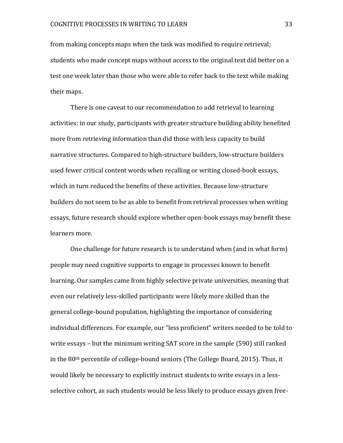from making concepts maps when the task was modified to require retrieval; students who made concept maps without access to the original text did better on a test one week later than those who were able to refer back to the text while making their maps.

There is one caveat to our recommendation to add retrieval to learning activities: in our study, participants with greater structure building ability benefited more from retrieving information than did those with less capacity to build narrative structures. Compared to high-structure builders, low-structure builders used fewer critical content words when recalling or writing closed-book essays, which in turn reduced the benefits of these activities. Because low-structure builders do not seem to be as able to benefit from retrieval processes when writing essays, future research should explore whether open-book essays may benefit these learners more.

One challenge for future research is to understand when (and in what form) people may need cognitive supports to engage in processes known to benefit learning. Our samples came from highly selective private universities, meaning that even our relatively less-skilled participants were likely more skilled than the general college-bound population, highlighting the importance of considering individual differences. For example, our "less proficient" writers needed to be told to write essays – but the minimum writing SAT score in the sample (590) still ranked in the 80th percentile of college-bound seniors (The College Board, 2015). Thus, it would likely be necessary to explicitly instruct students to write essays in a lessselective cohort, as such students would be less likely to produce essays given free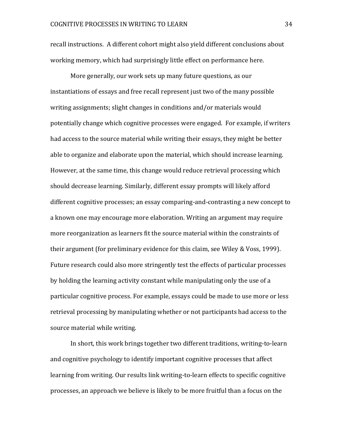recall instructions. A different cohort might also yield different conclusions about working memory, which had surprisingly little effect on performance here.

More generally, our work sets up many future questions, as our instantiations of essays and free recall represent just two of the many possible writing assignments; slight changes in conditions and/or materials would potentially change which cognitive processes were engaged. For example, if writers had access to the source material while writing their essays, they might be better able to organize and elaborate upon the material, which should increase learning. However, at the same time, this change would reduce retrieval processing which should decrease learning. Similarly, different essay prompts will likely afford different cognitive processes; an essay comparing-and-contrasting a new concept to a known one may encourage more elaboration. Writing an argument may require more reorganization as learners fit the source material within the constraints of their argument (for preliminary evidence for this claim, see Wiley & Voss, 1999). Future research could also more stringently test the effects of particular processes by holding the learning activity constant while manipulating only the use of a particular cognitive process. For example, essays could be made to use more or less retrieval processing by manipulating whether or not participants had access to the source material while writing.

In short, this work brings together two different traditions, writing-to-learn and cognitive psychology to identify important cognitive processes that affect learning from writing. Our results link writing-to-learn effects to specific cognitive processes, an approach we believe is likely to be more fruitful than a focus on the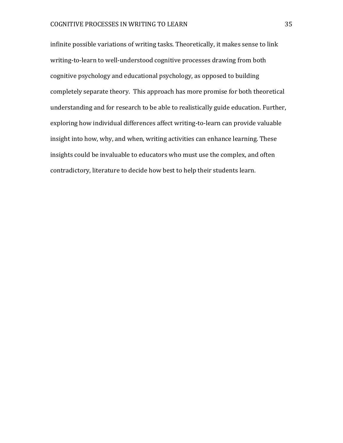infinite possible variations of writing tasks. Theoretically, it makes sense to link writing-to-learn to well-understood cognitive processes drawing from both cognitive psychology and educational psychology, as opposed to building completely separate theory. This approach has more promise for both theoretical understanding and for research to be able to realistically guide education. Further, exploring how individual differences affect writing-to-learn can provide valuable insight into how, why, and when, writing activities can enhance learning. These insights could be invaluable to educators who must use the complex, and often contradictory, literature to decide how best to help their students learn.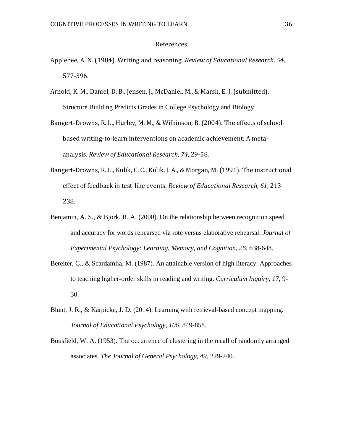#### References

- Applebee, A. N. (1984). Writing and reasoning. *Review of Educational Research, 54*, 577-596.
- Arnold, K. M., Daniel, D. B., Jensen, J., McDaniel, M., & Marsh, E. J. (submitted). Structure Building Predicts Grades in College Psychology and Biology.
- Bangert-Drowns, R. L., Hurley, M. M., & Wilkinson, B. (2004). The effects of schoolbased writing-to-learn interventions on academic achievement: A metaanalysis. *Review of Educational Research, 74*, 29-58.
- Bangert-Drowns, R. L., Kulik, C. C., Kulik, J. A., & Morgan, M. (1991). The instructional effect of feedback in test-like events. *Review of Educational Research, 61*, 213- 238.
- Benjamin, A. S., & Bjork, R. A. (2000). On the relationship between recognition speed and accuracy for words rehearsed via rote versus elaborative rehearsal. *Journal of Experimental Psychology: Learning, Memory, and Cognition, 26*, 638-648.
- Bereiter, C., & Scardamlia, M. (1987). An attainable version of high literacy: Approaches to teaching higher-order skills in reading and writing. *Curriculum Inquiry, 17*, 9- 30.
- Blunt, J. R., & Karpicke, J. D. (2014). Learning with retrieval-based concept mapping. *Journal of Educational Psychology, 106*, 849-858.
- Bousfield, W. A. (1953). The occurrence of clustering in the recall of randomly arranged associates. *The Journal of General Psychology, 49*, 229-240.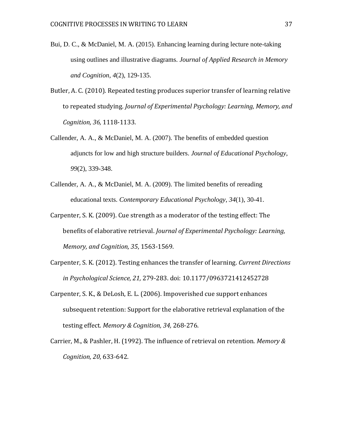- Bui, D. C., & McDaniel, M. A. (2015). Enhancing learning during lecture note-taking using outlines and illustrative diagrams. *Journal of Applied Research in Memory and Cognition*, *4*(2), 129-135.
- Butler, A. C. (2010). Repeated testing produces superior transfer of learning relative to repeated studying. *Journal of Experimental Psychology: Learning, Memory, and Cognition, 36,* 1118-1133.
- Callender, A. A., & McDaniel, M. A. (2007). The benefits of embedded question adjuncts for low and high structure builders. *Journal of Educational Psychology*, *99*(2), 339-348.
- Callender, A. A., & McDaniel, M. A. (2009). The limited benefits of rereading educational texts. *Contemporary Educational Psychology*, *34*(1), 30-41.
- Carpenter, S. K. (2009). Cue strength as a moderator of the testing effect: The benefits of elaborative retrieval. *Journal of Experimental Psychology: Learning, Memory, and Cognition, 35*, 1563-1569.
- Carpenter, S. K. (2012). Testing enhances the transfer of learning. *Current Directions in Psychological Science, 21,* 279-283. doi: 10.1177/0963721412452728
- Carpenter, S. K., & DeLosh, E. L. (2006). Impoverished cue support enhances subsequent retention: Support for the elaborative retrieval explanation of the testing effect. *Memory & Cognition, 34,* 268-276.
- Carrier, M., & Pashler, H. (1992). The influence of retrieval on retention. *Memory & Cognition, 20*, 633-642.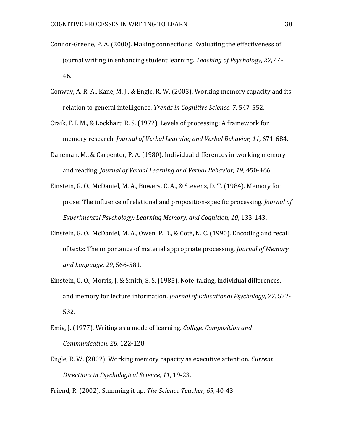- Connor-Greene, P. A. (2000). Making connections: Evaluating the effectiveness of journal writing in enhancing student learning. *Teaching of Psychology, 27,* 44- 46.
- Conway, A. R. A., Kane, M. J., & Engle, R. W. (2003). Working memory capacity and its relation to general intelligence. *Trends in Cognitive Science, 7*, 547-552.
- Craik, F. I. M., & Lockhart, R. S. (1972). Levels of processing: A framework for memory research. *Journal of Verbal Learning and Verbal Behavior, 11*, 671-684.
- Daneman, M., & Carpenter, P. A. (1980). Individual differences in working memory and reading. *Journal of Verbal Learning and Verbal Behavior, 19*, 450-466.
- Einstein, G. O., McDaniel, M. A., Bowers, C. A., & Stevens, D. T. (1984). Memory for prose: The influence of relational and proposition-specific processing. *Journal of Experimental Psychology: Learning Memory, and Cognition, 10*, 133-143.
- Einstein, G. O., McDaniel, M. A., Owen, P. D., & Coté, N. C. (1990). Encoding and recall of texts: The importance of material appropriate processing. *Journal of Memory and Language, 29*, 566-581.
- Einstein, G. O., Morris, J. & Smith, S. S. (1985). Note-taking, individual differences, and memory for lecture information. *Journal of Educational Psychology, 77,* 522- 532.
- Emig, J. (1977). Writing as a mode of learning. *College Composition and Communication, 28*, 122-128.
- Engle, R. W. (2002). Working memory capacity as executive attention. *Current Directions in Psychological Science, 11*, 19-23.

Friend, R. (2002). Summing it up. *The Science Teacher, 69,* 40-43.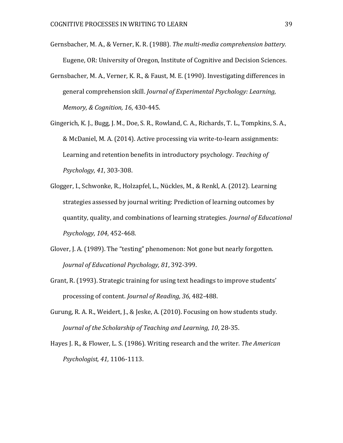- Gernsbacher, M. A., & Verner, K. R. (1988). *The multi-media comprehension battery.* Eugene, OR: University of Oregon, Institute of Cognitive and Decision Sciences.
- Gernsbacher, M. A., Verner, K. R., & Faust, M. E. (1990). Investigating differences in general comprehension skill. *Journal of Experimental Psychology: Learning, Memory, & Cognition, 16*, 430-445.
- Gingerich, K. J., Bugg, J. M., Doe, S. R., Rowland, C. A., Richards, T. L., Tompkins, S. A., & McDaniel, M. A. (2014). Active processing via write-to-learn assignments: Learning and retention benefits in introductory psychology. *Teaching of Psychology, 41*, 303-308.
- Glogger, I., Schwonke, R., Holzapfel, L., Nückles, M., & Renkl, A. (2012). Learning strategies assessed by journal writing: Prediction of learning outcomes by quantity, quality, and combinations of learning strategies. *Journal of Educational Psychology, 104*, 452-468.
- Glover, J. A. (1989). The "testing" phenomenon: Not gone but nearly forgotten. *Journal of Educational Psychology, 81*, 392-399.
- Grant, R. (1993). Strategic training for using text headings to improve students' processing of content. *Journal of Reading, 36*, 482-488.
- Gurung, R. A. R., Weidert, J., & Jeske, A. (2010). Focusing on how students study. *Journal of the Scholarship of Teaching and Learning, 10*, 28-35.
- Hayes J. R., & Flower, L. S. (1986). Writing research and the writer. *The American Psychologist, 41,* 1106-1113.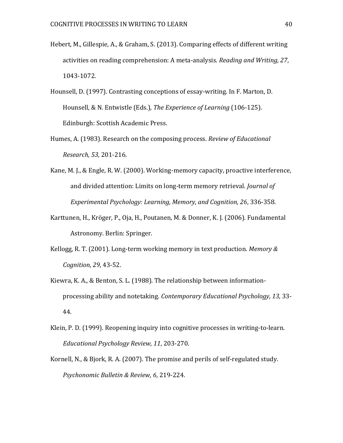- Hebert, M., Gillespie, A., & Graham, S. (2013). Comparing effects of different writing activities on reading comprehension: A meta-analysis. *Reading and Writing, 27*, 1043-1072.
- Hounsell, D. (1997). Contrasting conceptions of essay-writing. In F. Marton, D. Hounsell, & N. Entwistle (Eds.), *The Experience of Learning* (106-125). Edinburgh: Scottish Academic Press.
- Humes, A. (1983). Research on the composing process. *Review of Educational Research, 53,* 201-216.
- Kane, M. J., & Engle, R. W. (2000). Working-memory capacity, proactive interference, and divided attention: Limits on long-term memory retrieval. *Journal of Experimental Psychology: Learning, Memory, and Cognition, 26*, 336-358.
- Karttunen, H., Kröger, P., Oja, H., Poutanen, M. & Donner, K. J. (2006). Fundamental Astronomy. Berlin: Springer.
- Kellogg, R. T. (2001). Long-term working memory in text production. *Memory & Cognition, 29*, 43-52.
- Kiewra, K. A., & Benton, S. L. (1988). The relationship between informationprocessing ability and notetaking. *Contemporary Educational Psychology, 13,* 33- 44.
- Klein, P. D. (1999). Reopening inquiry into cognitive processes in writing-to-learn. *Educational Psychology Review, 11*, 203-270.
- Kornell, N., & Bjork, R. A. (2007). The promise and perils of self-regulated study. *Psychonomic Bulletin & Review, 6*, 219-224.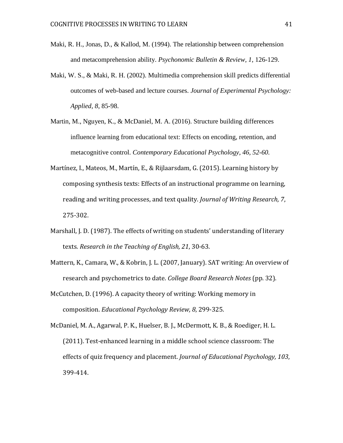- Maki, R. H., Jonas, D., & Kallod, M. (1994). The relationship between comprehension and metacomprehension ability. *Psychonomic Bulletin & Review, 1*, 126-129.
- Maki, W. S., & Maki, R. H. (2002). Multimedia comprehension skill predicts differential outcomes of web-based and lecture courses. *Journal of Experimental Psychology: Applied, 8*, 85-98.
- Martin, M., Nguyen, K., & McDaniel, M. A. (2016). Structure building differences influence learning from educational text: Effects on encoding, retention, and metacognitive control. *Contemporary Educational Psychology, 46, 52-60.*
- Martínez, I., Mateos, M., Martín, E., & Rijlaarsdam, G. (2015). Learning history by composing synthesis texts: Effects of an instructional programme on learning, reading and writing processes, and text quality. *Journal of Writing Research, 7*, 275-302.
- Marshall, J. D. (1987). The effects of writing on students' understanding of literary texts. *Research in the Teaching of English, 21*, 30-63.
- Mattern, K., Camara, W., & Kobrin, J. L. (2007, January). SAT writing: An overview of research and psychometrics to date. *College Board Research Notes* (pp. 32).
- McCutchen, D. (1996). A capacity theory of writing: Working memory in composition. *Educational Psychology Review, 8*, 299-325.
- McDaniel, M. A., Agarwal, P. K., Huelser, B. J., McDermott, K. B., & Roediger, H. L. (2011). Test-enhanced learning in a middle school science classroom: The effects of quiz frequency and placement. *Journal of Educational Psychology, 103*, 399-414.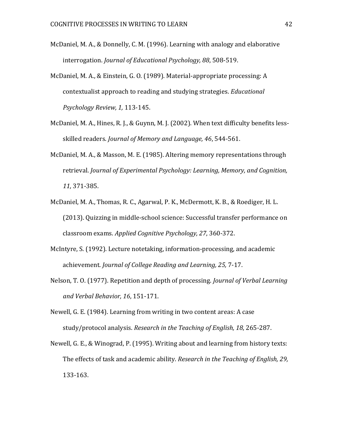- McDaniel, M. A., & Donnelly, C. M. (1996). Learning with analogy and elaborative interrogation. *Journal of Educational Psychology, 88*, 508-519.
- McDaniel, M. A., & Einstein, G. O. (1989). Material-appropriate processing: A contextualist approach to reading and studying strategies. *Educational Psychology Review, 1,* 113-145.
- McDaniel, M. A., Hines, R. J., & Guynn, M. J. (2002). When text difficulty benefits lessskilled readers. *Journal of Memory and Language, 46*, 544-561.
- McDaniel, M. A., & Masson, M. E. (1985). Altering memory representations through retrieval. *Journal of Experimental Psychology: Learning, Memory, and Cognition, 11*, 371-385.
- McDaniel, M. A., Thomas, R. C., Agarwal, P. K., McDermott, K. B., & Roediger, H. L. (2013). Quizzing in middle-school science: Successful transfer performance on classroom exams. *Applied Cognitive Psychology, 27*, 360-372.
- McIntyre, S. (1992). Lecture notetaking, information-processing, and academic achievement. *Journal of College Reading and Learning, 25,* 7-17.
- Nelson, T. O. (1977). Repetition and depth of processing. *Journal of Verbal Learning and Verbal Behavior, 16*, 151-171.
- Newell, G. E. (1984). Learning from writing in two content areas: A case study/protocol analysis. *Research in the Teaching of English, 18*, 265-287.
- Newell, G. E., & Winograd, P. (1995). Writing about and learning from history texts: The effects of task and academic ability. *Research in the Teaching of English, 29,* 133-163.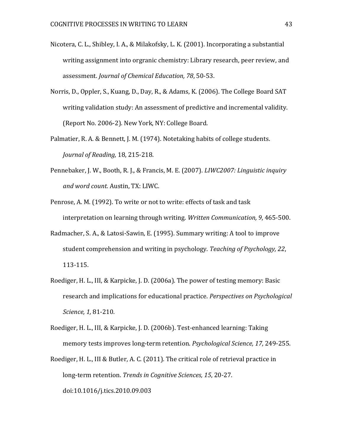- Nicotera, C. L., Shibley, I. A., & Milakofsky, L. K. (2001). Incorporating a substantial writing assignment into orgranic chemistry: Library research, peer review, and assessment. *Journal of Chemical Education, 78*, 50-53.
- Norris, D., Oppler, S., Kuang, D., Day, R., & Adams, K. (2006). The College Board SAT writing validation study: An assessment of predictive and incremental validity. (Report No. 2006-2). New York, NY: College Board.
- Palmatier, R. A. & Bennett, J. M. (1974). Notetaking habits of college students. *Journal of Reading,* 18, 215-218.
- Pennebaker, J. W., Booth, R. J., & Francis, M. E. (2007). *LIWC2007: Linguistic inquiry and word count.* Austin, TX: LIWC.
- Penrose, A. M. (1992). To write or not to write: effects of task and task interpretation on learning through writing. *Written Communication, 9*, 465-500.
- Radmacher, S. A., & Latosi-Sawin, E. (1995). Summary writing: A tool to improve student comprehension and writing in psychology. *Teaching of Psychology, 22*, 113-115.
- Roediger, H. L., III, & Karpicke, J. D. (2006a). The power of testing memory: Basic research and implications for educational practice. *Perspectives on Psychological Science, 1,* 81-210.
- Roediger, H. L., III, & Karpicke, J. D. (2006b). Test-enhanced learning: Taking memory tests improves long-term retention. *Psychological Science, 17*, 249-255.
- Roediger, H. L., III & Butler, A. C. (2011). The critical role of retrieval practice in long-term retention. *Trends in Cognitive Sciences, 15*, 20-27. doi:10.1016/j.tics.2010.09.003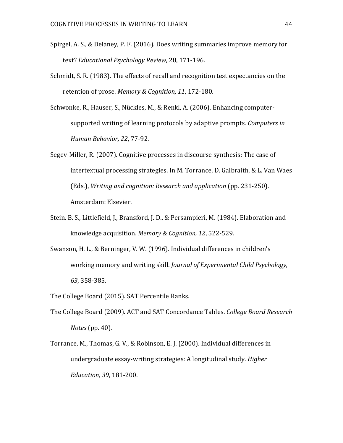- Spirgel, A. S., & Delaney, P. F. (2016). Does writing summaries improve memory for text? *Educational Psychology Review,* 28, 171-196.
- Schmidt, S. R. (1983). The effects of recall and recognition test expectancies on the retention of prose. *Memory & Cognition, 11*, 172-180.
- Schwonke, R., Hauser, S., Nückles, M., & Renkl, A. (2006). Enhancing computersupported writing of learning protocols by adaptive prompts. *Computers in Human Behavior, 22*, 77-92.
- Segev-Miller, R. (2007). Cognitive processes in discourse synthesis: The case of intertextual processing strategies. In M. Torrance, D. Galbraith, & L. Van Waes (Eds.), *Writing and cognition: Research and application* (pp. 231-250). Amsterdam: Elsevier.
- Stein, B. S., Littlefield, J., Bransford, J. D., & Persampieri, M. (1984). Elaboration and knowledge acquisition. *Memory & Cognition, 12*, 522-529.
- Swanson, H. L., & Berninger, V. W. (1996). Individual differences in children's working memory and writing skill. *Journal of Experimental Child Psychology, 63*, 358-385.
- The College Board (2015). SAT Percentile Ranks.
- The College Board (2009). ACT and SAT Concordance Tables. *College Board Research Notes* (pp. 40).
- Torrance, M., Thomas, G. V., & Robinson, E. J. (2000). Individual differences in undergraduate essay-writing strategies: A longitudinal study. *Higher Education, 39*, 181-200.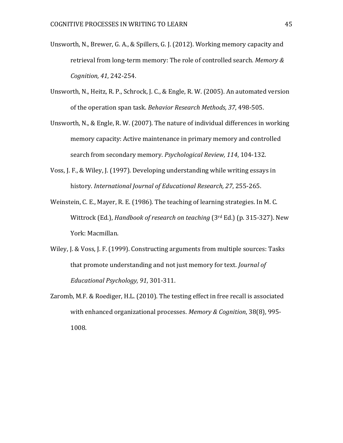- Unsworth, N., Brewer, G. A., & Spillers, G. J. (2012). Working memory capacity and retrieval from long-term memory: The role of controlled search. *Memory & Cognition, 41*, 242-254.
- Unsworth, N., Heitz, R. P., Schrock, J. C., & Engle, R. W. (2005). An automated version of the operation span task. *Behavior Research Methods, 37*, 498-505.
- Unsworth, N., & Engle, R. W. (2007). The nature of individual differences in working memory capacity: Active maintenance in primary memory and controlled search from secondary memory. *Psychological Review, 114*, 104-132.
- Voss, J. F., & Wiley, J. (1997). Developing understanding while writing essays in history. *International Journal of Educational Research, 27*, 255-265.
- Weinstein, C. E., Mayer, R. E. (1986). The teaching of learning strategies. In M. C. Wittrock (Ed.), *Handbook of research on teaching* (3rd Ed.) (p. 315-327). New York: Macmillan.
- Wiley, J. & Voss, J. F. (1999). Constructing arguments from multiple sources: Tasks that promote understanding and not just memory for text. *Journal of Educational Psychology, 91*, 301-311.
- Zaromb, M.F. & Roediger, H.L. (2010). The testing effect in free recall is associated with enhanced organizational processes. *Memory & Cognition*, 38(8), 995- 1008.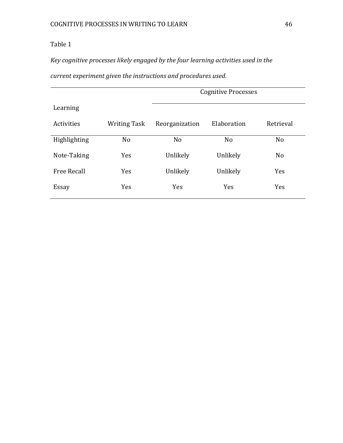*Key cognitive processes likely engaged by the four learning activities used in the* 

*current experiment given the instructions and procedures used.* 

|                    |                     | <b>Cognitive Processes</b> |                |                |  |  |
|--------------------|---------------------|----------------------------|----------------|----------------|--|--|
| Learning           |                     |                            |                |                |  |  |
| Activities         | <b>Writing Task</b> | Reorganization             | Elaboration    | Retrieval      |  |  |
| Highlighting       | N <sub>o</sub>      | N <sub>o</sub>             | N <sub>o</sub> | N <sub>o</sub> |  |  |
| Note-Taking        | Yes                 | Unlikely                   | Unlikely       | N <sub>o</sub> |  |  |
| <b>Free Recall</b> | Yes                 | Unlikely                   | Unlikely       | Yes            |  |  |
| Essay              | <b>Yes</b>          | <b>Yes</b>                 | Yes            | Yes            |  |  |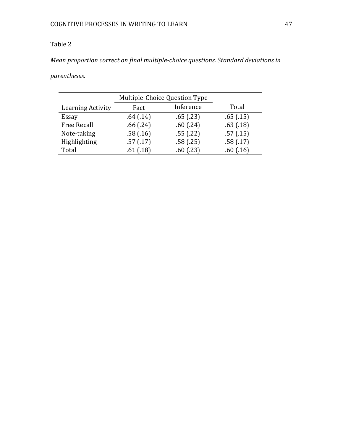*Mean proportion correct on final multiple-choice questions. Standard deviations in* 

*parentheses.*

|                    | Multiple-Choice Question Type |           |           |
|--------------------|-------------------------------|-----------|-----------|
| Learning Activity  | Fact                          | Inference | Total     |
| Essay              | .64(.14)                      | .65(0.23) | .65(0.15) |
| <b>Free Recall</b> | .66(.24)                      | .60(0.24) | .63(.18)  |
| Note-taking        | .58(.16)                      | .55(.22)  | .57(.15)  |
| Highlighting       | .57(.17)                      | .58(.25)  | .58(.17)  |
| Total              | .61(.18)                      | .60(0.23) | .60(0.16) |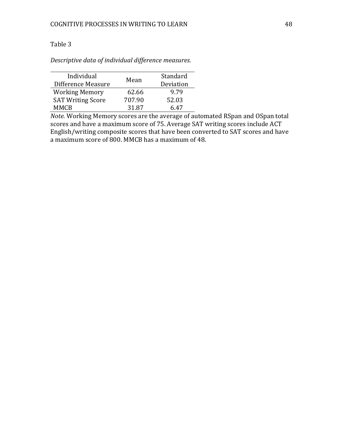*Descriptive data of individual difference measures.*

| Individual<br>Difference Measure | Mean   | Standard<br>Deviation |
|----------------------------------|--------|-----------------------|
| <b>Working Memory</b>            | 62.66  | 9.79                  |
| <b>SAT Writing Score</b>         | 707.90 | 52.03                 |
| <b>MMCB</b>                      | 31.87  | 6 47                  |

*Note.* Working Memory scores are the average of automated RSpan and OSpan total scores and have a maximum score of 75. Average SAT writing scores include ACT English/writing composite scores that have been converted to SAT scores and have a maximum score of 800. MMCB has a maximum of 48.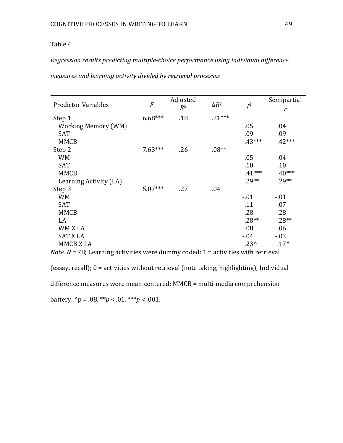# *Regression results predicting multiple-choice performance using individual difference*

|  |  | measures and learning activity divided by retrieval processes |  |
|--|--|---------------------------------------------------------------|--|
|  |  |                                                               |  |

| <b>Predictor Variables</b> | $\overline{F}$ | Adjusted<br>$R^2$ | $\Delta R^2$ | $\beta$        | Semipartial  |
|----------------------------|----------------|-------------------|--------------|----------------|--------------|
|                            |                |                   |              |                | $\mathbf{r}$ |
| Step 1                     | $6.68***$      | .18               | $.21***$     |                |              |
| <b>Working Memory (WM)</b> |                |                   |              | .05            | .04          |
| <b>SAT</b>                 |                |                   |              | .09            | .09          |
| <b>MMCB</b>                |                |                   |              | $.43***$       | $.42***$     |
| Step 2                     | $7.63***$      | .26               | $.08**$      |                |              |
| <b>WM</b>                  |                |                   |              | .05            | .04          |
| <b>SAT</b>                 |                |                   |              | .10            | .10          |
| <b>MMCB</b>                |                |                   |              | $.41***$       | $.40***$     |
| Learning Activity (LA)     |                |                   |              | $.29**$        | $.29**$      |
| Step 3                     | $5.07***$      | .27               | .04          |                |              |
| <b>WM</b>                  |                |                   |              | $-.01$         | $-.01$       |
| <b>SAT</b>                 |                |                   |              | .11            | .07          |
| <b>MMCB</b>                |                |                   |              | .28            | .28          |
| LA                         |                |                   |              | $.28**$        | $.28**$      |
| WM X LA                    |                |                   |              | .08            | .06          |
| <b>SAT X LA</b>            |                |                   |              | $-0.04$        | $-03$        |
| MMCB X LA                  |                |                   |              | $.23^{\prime}$ | $.17^$       |

*Note.*  $N = 78$ ; Learning activities were dummy coded:  $1 =$  activities with retrieval

(essay, recall); 0 = activities without retrieval (note taking, highlighting); Individual

difference measures were mean-centered; MMCB = multi-media comprehension

battery.  $^{\wedge}p = .08$ . \*\**p* < .01. \*\*\**p* < .001.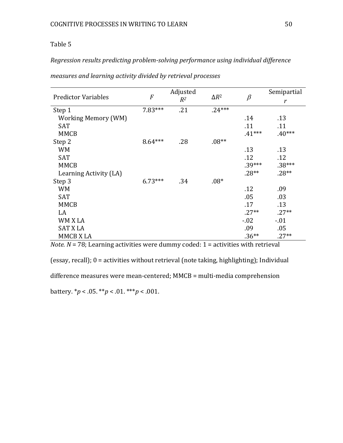# *Regression results predicting problem-solving performance using individual difference*

| <b>Predictor Variables</b> | $\cal F$  | Adjusted<br>$R^2$ | $\Delta R^2$ | $\beta$  | Semipartial  |
|----------------------------|-----------|-------------------|--------------|----------|--------------|
|                            |           |                   |              |          | $\mathbf{r}$ |
| Step 1                     | $7.83***$ | .21               | $.24***$     |          |              |
| <b>Working Memory (WM)</b> |           |                   |              | .14      | .13          |
| <b>SAT</b>                 |           |                   |              | .11      | .11          |
| <b>MMCB</b>                |           |                   |              | $.41***$ | $.40***$     |
| Step 2                     | $8.64***$ | .28               | $.08**$      |          |              |
| <b>WM</b>                  |           |                   |              | .13      | .13          |
| <b>SAT</b>                 |           |                   |              | .12      | .12          |
| <b>MMCB</b>                |           |                   |              | $.39***$ | $.38***$     |
| Learning Activity (LA)     |           |                   |              | $.28**$  | $.28**$      |
| Step 3                     | $6.73***$ | .34               | $.08*$       |          |              |
| <b>WM</b>                  |           |                   |              | .12      | .09          |
| <b>SAT</b>                 |           |                   |              | .05      | .03          |
| <b>MMCB</b>                |           |                   |              | .17      | .13          |
| LA                         |           |                   |              | $.27**$  | $.27**$      |
| WM X LA                    |           |                   |              | $-0.02$  | $-.01$       |
| <b>SAT X LA</b>            |           |                   |              | .09      | .05          |
| MMCB X LA                  |           |                   |              | $.36**$  | $.27**$      |

*measures and learning activity divided by retrieval processes*

*Note.*  $N = 78$ ; Learning activities were dummy coded:  $1 =$  activities with retrieval

(essay, recall); 0 = activities without retrieval (note taking, highlighting); Individual

difference measures were mean-centered; MMCB = multi-media comprehension

battery. \**p* < .05. \*\**p* < .01. \*\*\**p* < .001.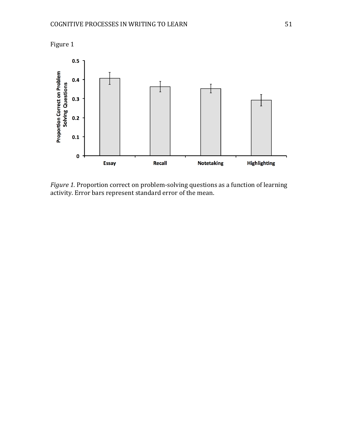

*Figure 1.* Proportion correct on problem-solving questions as a function of learning activity. Error bars represent standard error of the mean.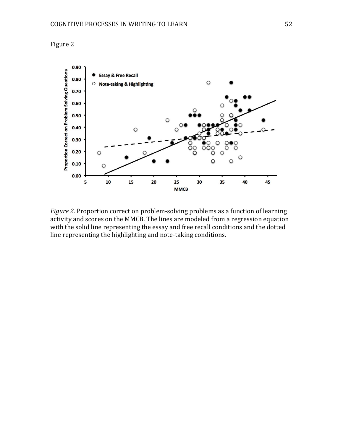

*Figure 2.* Proportion correct on problem-solving problems as a function of learning activity and scores on the MMCB. The lines are modeled from a regression equation with the solid line representing the essay and free recall conditions and the dotted line representing the highlighting and note-taking conditions.